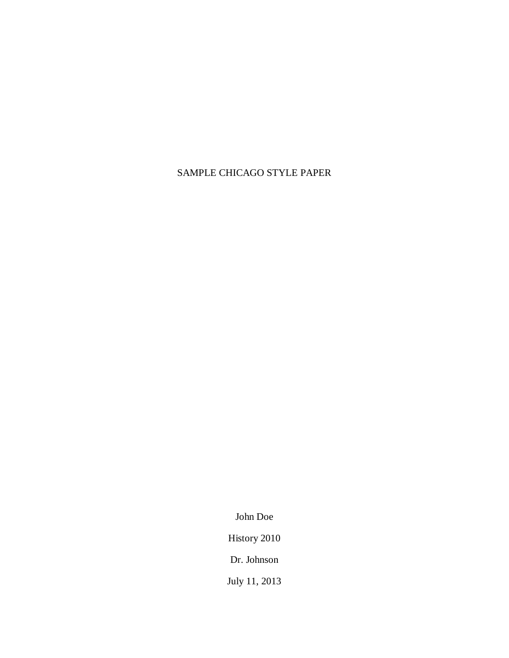## SAMPLE CHICAGO STYLE PAPER

John Doe

History 2010

Dr. Johnson

July 11, 2013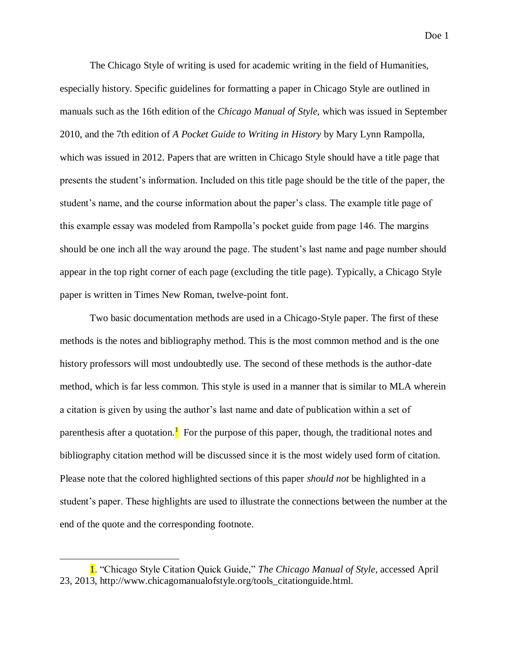Doe 1

The Chicago Style of writing is used for academic writing in the field of Humanities, especially history. Specific guidelines for formatting a paper in Chicago Style are outlined in manuals such as the 16th edition of the *Chicago Manual of Style*, which was issued in September 2010, and the 7th edition of *A Pocket Guide to Writing in History* by Mary Lynn Rampolla, which was issued in 2012. Papers that are written in Chicago Style should have a title page that presents the student's information. Included on this title page should be the title of the paper, the student's name, and the course information about the paper's class. The example title page of this example essay was modeled from Rampolla's pocket guide from page 146. The margins should be one inch all the way around the page. The student's last name and page number should appear in the top right corner of each page (excluding the title page). Typically, a Chicago Style paper is written in Times New Roman, twelve-point font.

Two basic documentation methods are used in a Chicago-Style paper. The first of these methods is the notes and bibliography method. This is the most common method and is the one history professors will most undoubtedly use. The second of these methods is the author-date method, which is far less common. This style is used in a manner that is similar to MLA wherein a citation is given by using the author's last name and date of publication within a set of parenthesis after a quotation.<sup>1</sup> For the purpose of this paper, though, the traditional notes and bibliography citation method will be discussed since it is the most widely used form of citation. Please note that the colored highlighted sections of this paper *should not* be highlighted in a student's paper. These highlights are used to illustrate the connections between the number at the end of the quote and the corresponding footnote.

 $\overline{\phantom{a}}$ 

<sup>1. &</sup>quot;Chicago Style Citation Quick Guide," *The Chicago Manual of Style*, accessed April 23, 2013, [http://www.chicagomanualofstyle.org/tools\\_citationguide.html.](http://www.chicagomanualofstyle.org/tools_citationguide.html)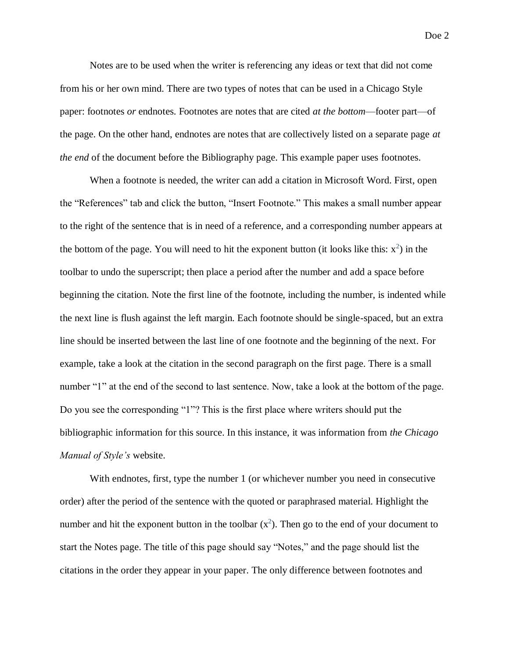Notes are to be used when the writer is referencing any ideas or text that did not come from his or her own mind. There are two types of notes that can be used in a Chicago Style paper: footnotes *or* endnotes. Footnotes are notes that are cited *at the bottom*—footer part—of the page. On the other hand, endnotes are notes that are collectively listed on a separate page *at the end* of the document before the Bibliography page. This example paper uses footnotes.

When a footnote is needed, the writer can add a citation in Microsoft Word. First, open the "References" tab and click the button, "Insert Footnote." This makes a small number appear to the right of the sentence that is in need of a reference, and a corresponding number appears at the bottom of the page. You will need to hit the exponent button (it looks like this:  $x^2$ ) in the toolbar to undo the superscript; then place a period after the number and add a space before beginning the citation. Note the first line of the footnote, including the number, is indented while the next line is flush against the left margin. Each footnote should be single-spaced, but an extra line should be inserted between the last line of one footnote and the beginning of the next. For example, take a look at the citation in the second paragraph on the first page. There is a small number "1" at the end of the second to last sentence. Now, take a look at the bottom of the page. Do you see the corresponding "1"? This is the first place where writers should put the bibliographic information for this source. In this instance, it was information from *the Chicago Manual of Style's* website.

With endnotes, first, type the number 1 (or whichever number you need in consecutive order) after the period of the sentence with the quoted or paraphrased material. Highlight the number and hit the exponent button in the toolbar  $(x^2)$ . Then go to the end of your document to start the Notes page. The title of this page should say "Notes," and the page should list the citations in the order they appear in your paper. The only difference between footnotes and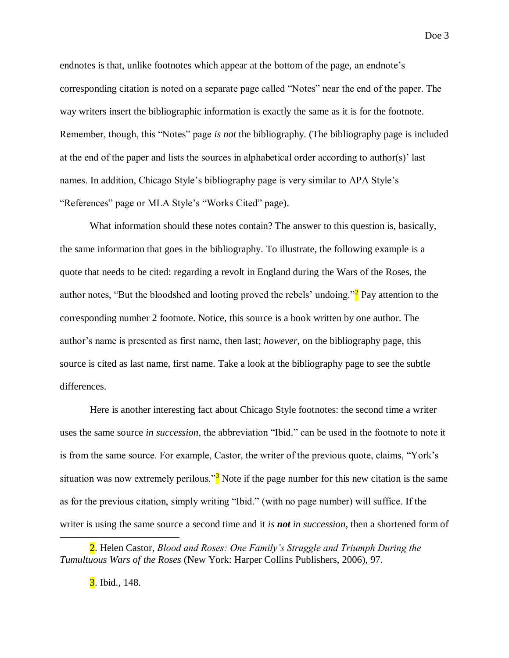endnotes is that, unlike footnotes which appear at the bottom of the page, an endnote's corresponding citation is noted on a separate page called "Notes" near the end of the paper. The way writers insert the bibliographic information is exactly the same as it is for the footnote. Remember, though, this "Notes" page *is not* the bibliography. (The bibliography page is included at the end of the paper and lists the sources in alphabetical order according to author(s)' last names. In addition, Chicago Style's bibliography page is very similar to APA Style's "References" page or MLA Style's "Works Cited" page).

What information should these notes contain? The answer to this question is, basically, the same information that goes in the bibliography. To illustrate, the following example is a quote that needs to be cited: regarding a revolt in England during the Wars of the Roses, the author notes, "But the bloodshed and looting proved the rebels' undoing." $\frac{2}{3}$  Pay attention to the corresponding number 2 footnote. Notice, this source is a book written by one author. The author's name is presented as first name, then last; *however*, on the bibliography page, this source is cited as last name, first name. Take a look at the bibliography page to see the subtle differences.

Here is another interesting fact about Chicago Style footnotes: the second time a writer uses the same source *in succession*, the abbreviation "Ibid." can be used in the footnote to note it is from the same source. For example, Castor, the writer of the previous quote, claims, "York's situation was now extremely perilous." $3$  Note if the page number for this new citation is the same as for the previous citation, simply writing "Ibid." (with no page number) will suffice. If the writer is using the same source a second time and it *is not in succession*, then a shortened form of

Doe 3

 $\overline{\phantom{a}}$ 

<sup>2.</sup> Helen Castor, *Blood and Roses: One Family's Struggle and Triumph During the Tumultuous Wars of the Roses* (New York: Harper Collins Publishers, 2006), 97.

**<sup>3.</sup>** Ibid., 148.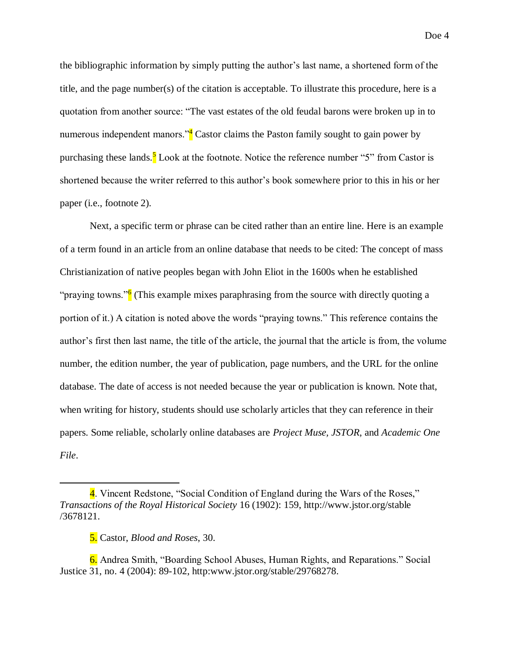Doe 4

the bibliographic information by simply putting the author's last name, a shortened form of the title, and the page number(s) of the citation is acceptable. To illustrate this procedure, here is a quotation from another source: "The vast estates of the old feudal barons were broken up in to numerous independent manors.<sup> $4$ </sup> Castor claims the Paston family sought to gain power by purchasing these lands.<sup>5</sup> Look at the footnote. Notice the reference number "5" from Castor is shortened because the writer referred to this author's book somewhere prior to this in his or her paper (i.e., footnote 2).

Next, a specific term or phrase can be cited rather than an entire line. Here is an example of a term found in an article from an online database that needs to be cited: The concept of mass Christianization of native peoples began with John Eliot in the 1600s when he established "praying towns."<sup>6</sup> (This example mixes paraphrasing from the source with directly quoting a portion of it.) A citation is noted above the words "praying towns." This reference contains the author's first then last name, the title of the article, the journal that the article is from, the volume number, the edition number, the year of publication, page numbers, and the URL for the online database. The date of access is not needed because the year or publication is known. Note that, when writing for history, students should use scholarly articles that they can reference in their papers. Some reliable, scholarly online databases are *Project Muse, JSTOR*, and *Academic One File*.

 $\overline{a}$ 

6. Andrea Smith, "Boarding School Abuses, Human Rights, and Reparations." Social Justice 31, no. 4 (2004): 89-102, http:www.jstor.org/stable/29768278.

<sup>4.</sup> Vincent Redstone, "Social Condition of England during the Wars of the Roses," *Transactions of the Royal Historical Society* 16 (1902): 159,<http://www.jstor.org/stable> /3678121.

<sup>5.</sup> Castor, *Blood and Roses*, 30.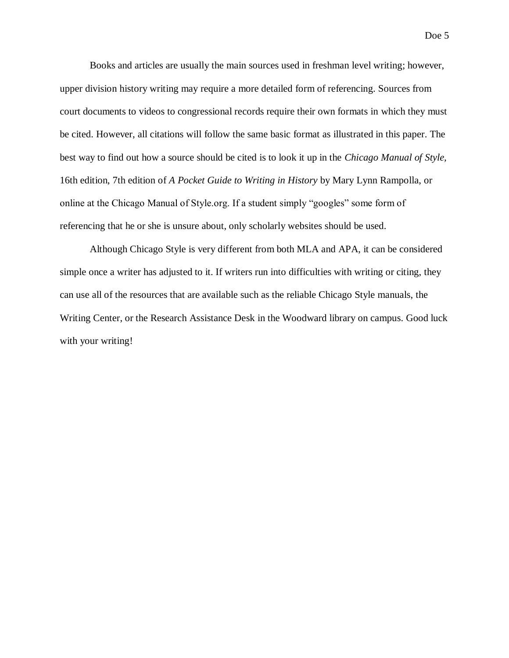Books and articles are usually the main sources used in freshman level writing; however, upper division history writing may require a more detailed form of referencing. Sources from court documents to videos to congressional records require their own formats in which they must be cited. However, all citations will follow the same basic format as illustrated in this paper. The best way to find out how a source should be cited is to look it up in the *Chicago Manual of Style,*  16th edition, 7th edition of *A Pocket Guide to Writing in History* by Mary Lynn Rampolla, or online at the Chicago Manual of Style.org. If a student simply "googles" some form of referencing that he or she is unsure about, only scholarly websites should be used.

Although Chicago Style is very different from both MLA and APA, it can be considered simple once a writer has adjusted to it. If writers run into difficulties with writing or citing, they can use all of the resources that are available such as the reliable Chicago Style manuals, the Writing Center, or the Research Assistance Desk in the Woodward library on campus. Good luck with your writing!